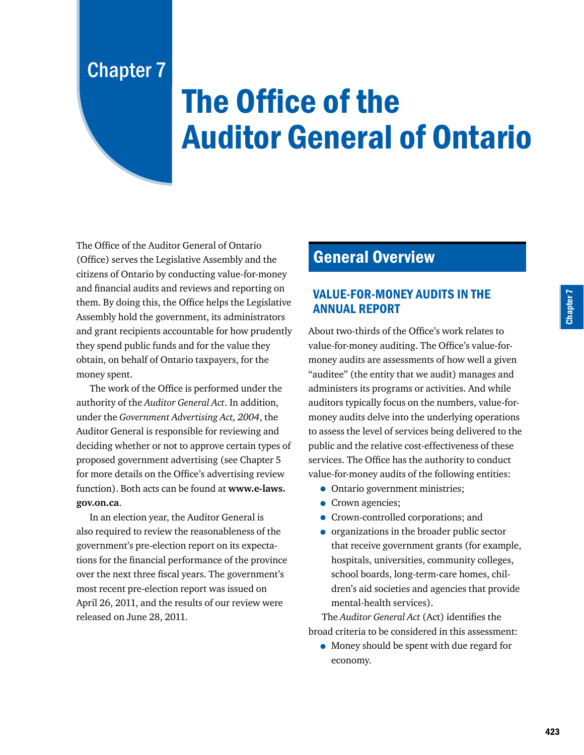## Chapter 7

# The Office of the Auditor General of Ontario

The Office of the Auditor General of Ontario (Office) serves the Legislative Assembly and the citizens of Ontario by conducting value-for-money and financial audits and reviews and reporting on them. By doing this, the Office helps the Legislative Assembly hold the government, its administrators and grant recipients accountable for how prudently they spend public funds and for the value they obtain, on behalf of Ontario taxpayers, for the money spent.

The work of the Office is performed under the authority of the *Auditor General Act*. In addition, under the *Government Advertising Act, 2004*, the Auditor General is responsible for reviewing and deciding whether or not to approve certain types of proposed government advertising (see Chapter 5 for more details on the Office's advertising review function). Both acts can be found at **www.e-laws. gov.on.ca**.

In an election year, the Auditor General is also required to review the reasonableness of the government's pre-election report on its expectations for the financial performance of the province over the next three fiscal years. The government's most recent pre-election report was issued on April 26, 2011, and the results of our review were released on June 28, 2011.

### General Overview

### VALUE-FOR-MONEY AUDITS IN THE ANNUAL REPORT

About two-thirds of the Office's work relates to value-for-money auditing. The Office's value-formoney audits are assessments of how well a given "auditee" (the entity that we audit) manages and administers its programs or activities. And while auditors typically focus on the numbers, value-formoney audits delve into the underlying operations to assess the level of services being delivered to the public and the relative cost-effectiveness of these services. The Office has the authority to conduct value-for-money audits of the following entities:

- Ontario government ministries;
- Crown agencies;
- Crown-controlled corporations; and
- organizations in the broader public sector that receive government grants (for example, hospitals, universities, community colleges, school boards, long-term-care homes, children's aid societies and agencies that provide mental-health services).

The *Auditor General Act* (Act) identifies the broad criteria to be considered in this assessment:

• Money should be spent with due regard for economy.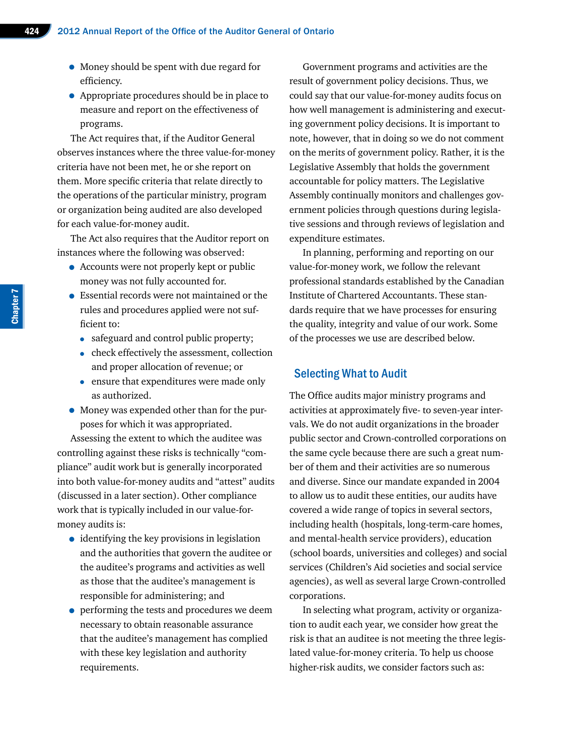- Money should be spent with due regard for efficiency.
- Appropriate procedures should be in place to measure and report on the effectiveness of programs.

The Act requires that, if the Auditor General observes instances where the three value-for-money criteria have not been met, he or she report on them. More specific criteria that relate directly to the operations of the particular ministry, program or organization being audited are also developed for each value-for-money audit.

The Act also requires that the Auditor report on instances where the following was observed:

- Accounts were not properly kept or public money was not fully accounted for.
- Essential records were not maintained or the rules and procedures applied were not sufficient to:
	- safeguard and control public property;
	- check effectively the assessment, collection and proper allocation of revenue; or
	- ensure that expenditures were made only as authorized.
- Money was expended other than for the purposes for which it was appropriated.

Assessing the extent to which the auditee was controlling against these risks is technically "compliance" audit work but is generally incorporated into both value-for-money audits and "attest" audits (discussed in a later section). Other compliance work that is typically included in our value-formoney audits is:

- identifying the key provisions in legislation and the authorities that govern the auditee or the auditee's programs and activities as well as those that the auditee's management is responsible for administering; and
- performing the tests and procedures we deem necessary to obtain reasonable assurance that the auditee's management has complied with these key legislation and authority requirements.

Government programs and activities are the result of government policy decisions. Thus, we could say that our value-for-money audits focus on how well management is administering and executing government policy decisions. It is important to note, however, that in doing so we do not comment on the merits of government policy. Rather, it is the Legislative Assembly that holds the government accountable for policy matters. The Legislative Assembly continually monitors and challenges government policies through questions during legislative sessions and through reviews of legislation and expenditure estimates.

In planning, performing and reporting on our value-for-money work, we follow the relevant professional standards established by the Canadian Institute of Chartered Accountants. These standards require that we have processes for ensuring the quality, integrity and value of our work. Some of the processes we use are described below.

#### Selecting What to Audit

The Office audits major ministry programs and activities at approximately five- to seven-year intervals. We do not audit organizations in the broader public sector and Crown-controlled corporations on the same cycle because there are such a great number of them and their activities are so numerous and diverse. Since our mandate expanded in 2004 to allow us to audit these entities, our audits have covered a wide range of topics in several sectors, including health (hospitals, long-term-care homes, and mental-health service providers), education (school boards, universities and colleges) and social services (Children's Aid societies and social service agencies), as well as several large Crown-controlled corporations.

In selecting what program, activity or organization to audit each year, we consider how great the risk is that an auditee is not meeting the three legislated value-for-money criteria. To help us choose higher-risk audits, we consider factors such as: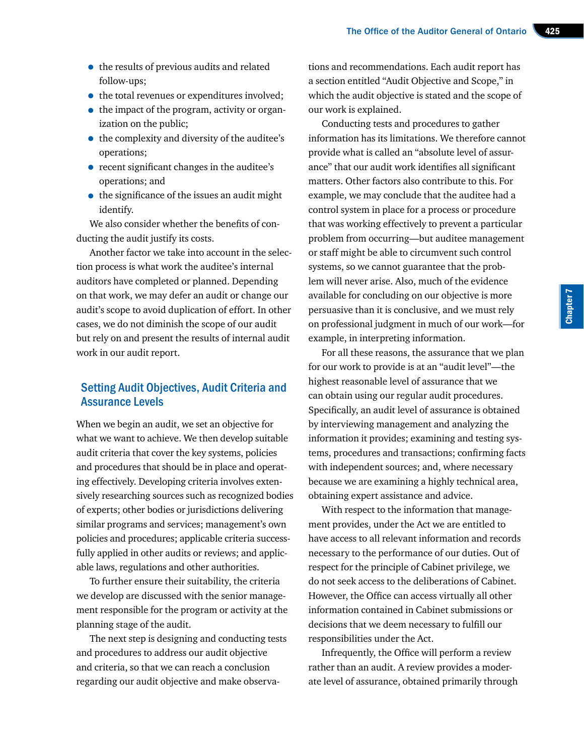- the results of previous audits and related follow-ups;
- the total revenues or expenditures involved;
- the impact of the program, activity or organization on the public;
- the complexity and diversity of the auditee's operations;
- recent significant changes in the auditee's operations; and
- the significance of the issues an audit might identify.

We also consider whether the benefits of conducting the audit justify its costs.

Another factor we take into account in the selection process is what work the auditee's internal auditors have completed or planned. Depending on that work, we may defer an audit or change our audit's scope to avoid duplication of effort. In other cases, we do not diminish the scope of our audit but rely on and present the results of internal audit work in our audit report.

### Setting Audit Objectives, Audit Criteria and Assurance Levels

When we begin an audit, we set an objective for what we want to achieve. We then develop suitable audit criteria that cover the key systems, policies and procedures that should be in place and operating effectively. Developing criteria involves extensively researching sources such as recognized bodies of experts; other bodies or jurisdictions delivering similar programs and services; management's own policies and procedures; applicable criteria successfully applied in other audits or reviews; and applicable laws, regulations and other authorities.

To further ensure their suitability, the criteria we develop are discussed with the senior management responsible for the program or activity at the planning stage of the audit.

The next step is designing and conducting tests and procedures to address our audit objective and criteria, so that we can reach a conclusion regarding our audit objective and make observa-

tions and recommendations. Each audit report has a section entitled "Audit Objective and Scope," in which the audit objective is stated and the scope of our work is explained.

Conducting tests and procedures to gather information has its limitations. We therefore cannot provide what is called an "absolute level of assurance" that our audit work identifies all significant matters. Other factors also contribute to this. For example, we may conclude that the auditee had a control system in place for a process or procedure that was working effectively to prevent a particular problem from occurring—but auditee management or staff might be able to circumvent such control systems, so we cannot guarantee that the problem will never arise. Also, much of the evidence available for concluding on our objective is more persuasive than it is conclusive, and we must rely on professional judgment in much of our work—for example, in interpreting information.

For all these reasons, the assurance that we plan for our work to provide is at an "audit level"—the highest reasonable level of assurance that we can obtain using our regular audit procedures. Specifically, an audit level of assurance is obtained by interviewing management and analyzing the information it provides; examining and testing systems, procedures and transactions; confirming facts with independent sources; and, where necessary because we are examining a highly technical area, obtaining expert assistance and advice.

With respect to the information that management provides, under the Act we are entitled to have access to all relevant information and records necessary to the performance of our duties. Out of respect for the principle of Cabinet privilege, we do not seek access to the deliberations of Cabinet. However, the Office can access virtually all other information contained in Cabinet submissions or decisions that we deem necessary to fulfill our responsibilities under the Act.

Infrequently, the Office will perform a review rather than an audit. A review provides a moderate level of assurance, obtained primarily through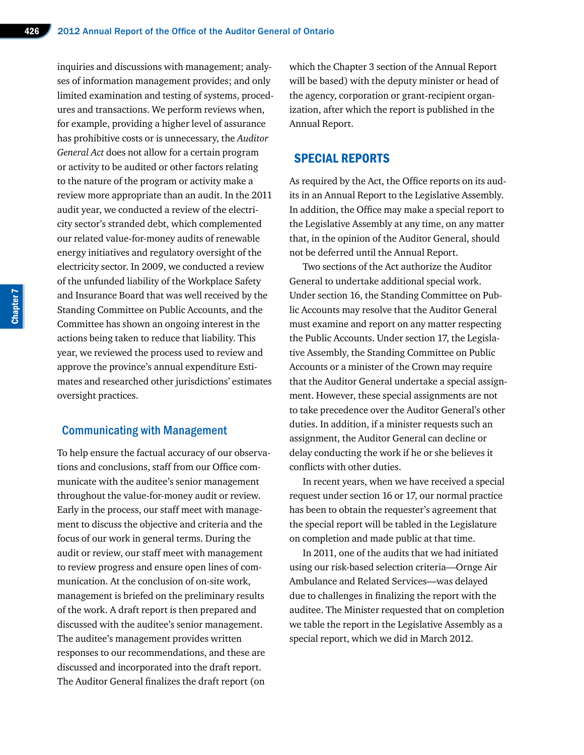inquiries and discussions with management; analyses of information management provides; and only limited examination and testing of systems, procedures and transactions. We perform reviews when, for example, providing a higher level of assurance has prohibitive costs or is unnecessary, the *Auditor General Act* does not allow for a certain program or activity to be audited or other factors relating to the nature of the program or activity make a review more appropriate than an audit. In the 2011 audit year, we conducted a review of the electricity sector's stranded debt, which complemented our related value-for-money audits of renewable energy initiatives and regulatory oversight of the electricity sector. In 2009, we conducted a review of the unfunded liability of the Workplace Safety and Insurance Board that was well received by the Standing Committee on Public Accounts, and the Committee has shown an ongoing interest in the actions being taken to reduce that liability. This year, we reviewed the process used to review and approve the province's annual expenditure Estimates and researched other jurisdictions' estimates oversight practices.

### Communicating with Management

To help ensure the factual accuracy of our observations and conclusions, staff from our Office communicate with the auditee's senior management throughout the value-for-money audit or review. Early in the process, our staff meet with management to discuss the objective and criteria and the focus of our work in general terms. During the audit or review, our staff meet with management to review progress and ensure open lines of communication. At the conclusion of on-site work, management is briefed on the preliminary results of the work. A draft report is then prepared and discussed with the auditee's senior management. The auditee's management provides written responses to our recommendations, and these are discussed and incorporated into the draft report. The Auditor General finalizes the draft report (on

which the Chapter 3 section of the Annual Report will be based) with the deputy minister or head of the agency, corporation or grant-recipient organization, after which the report is published in the Annual Report.

### SPECIAL REPORTS

As required by the Act, the Office reports on its audits in an Annual Report to the Legislative Assembly. In addition, the Office may make a special report to the Legislative Assembly at any time, on any matter that, in the opinion of the Auditor General, should not be deferred until the Annual Report.

Two sections of the Act authorize the Auditor General to undertake additional special work. Under section 16, the Standing Committee on Public Accounts may resolve that the Auditor General must examine and report on any matter respecting the Public Accounts. Under section 17, the Legislative Assembly, the Standing Committee on Public Accounts or a minister of the Crown may require that the Auditor General undertake a special assignment. However, these special assignments are not to take precedence over the Auditor General's other duties. In addition, if a minister requests such an assignment, the Auditor General can decline or delay conducting the work if he or she believes it conflicts with other duties.

In recent years, when we have received a special request under section 16 or 17, our normal practice has been to obtain the requester's agreement that the special report will be tabled in the Legislature on completion and made public at that time.

In 2011, one of the audits that we had initiated using our risk-based selection criteria—Ornge Air Ambulance and Related Services—was delayed due to challenges in finalizing the report with the auditee. The Minister requested that on completion we table the report in the Legislative Assembly as a special report, which we did in March 2012.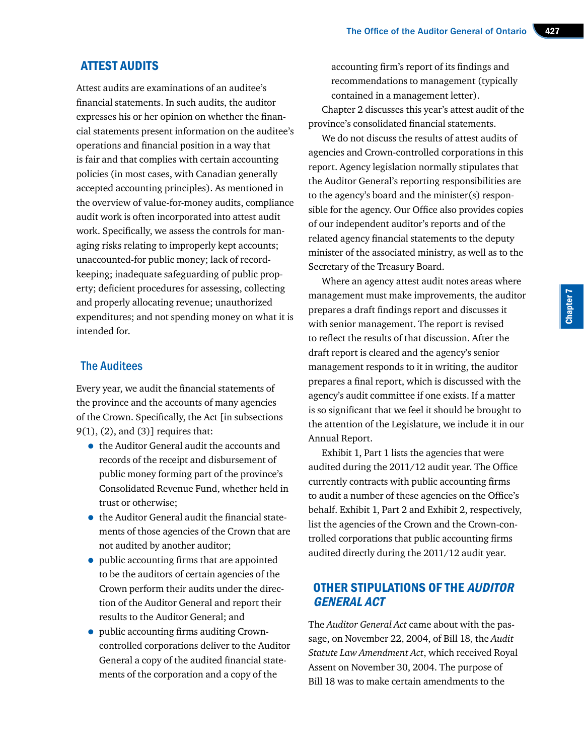### ATTEST AUDITS

Attest audits are examinations of an auditee's financial statements. In such audits, the auditor expresses his or her opinion on whether the financial statements present information on the auditee's operations and financial position in a way that is fair and that complies with certain accounting policies (in most cases, with Canadian generally accepted accounting principles). As mentioned in the overview of value-for-money audits, compliance audit work is often incorporated into attest audit work. Specifically, we assess the controls for managing risks relating to improperly kept accounts; unaccounted-for public money; lack of recordkeeping; inadequate safeguarding of public property; deficient procedures for assessing, collecting and properly allocating revenue; unauthorized expenditures; and not spending money on what it is intended for.

### The Auditees

Every year, we audit the financial statements of the province and the accounts of many agencies of the Crown. Specifically, the Act [in subsections 9(1), (2), and (3)] requires that:

- the Auditor General audit the accounts and records of the receipt and disbursement of public money forming part of the province's Consolidated Revenue Fund, whether held in trust or otherwise;
- the Auditor General audit the financial statements of those agencies of the Crown that are not audited by another auditor;
- public accounting firms that are appointed to be the auditors of certain agencies of the Crown perform their audits under the direction of the Auditor General and report their results to the Auditor General; and
- public accounting firms auditing Crowncontrolled corporations deliver to the Auditor General a copy of the audited financial statements of the corporation and a copy of the

accounting firm's report of its findings and recommendations to management (typically contained in a management letter). Chapter 2 discusses this year's attest audit of the

province's consolidated financial statements.

We do not discuss the results of attest audits of agencies and Crown-controlled corporations in this report. Agency legislation normally stipulates that the Auditor General's reporting responsibilities are to the agency's board and the minister(s) responsible for the agency. Our Office also provides copies of our independent auditor's reports and of the related agency financial statements to the deputy minister of the associated ministry, as well as to the Secretary of the Treasury Board.

Where an agency attest audit notes areas where management must make improvements, the auditor prepares a draft findings report and discusses it with senior management. The report is revised to reflect the results of that discussion. After the draft report is cleared and the agency's senior management responds to it in writing, the auditor prepares a final report, which is discussed with the agency's audit committee if one exists. If a matter is so significant that we feel it should be brought to the attention of the Legislature, we include it in our Annual Report.

Exhibit 1, Part 1 lists the agencies that were audited during the 2011/12 audit year. The Office currently contracts with public accounting firms to audit a number of these agencies on the Office's behalf. Exhibit 1, Part 2 and Exhibit 2, respectively, list the agencies of the Crown and the Crown-controlled corporations that public accounting firms audited directly during the 2011/12 audit year.

### OTHER STIPULATIONS OF THE AUDITOR GENERAL ACT

The *Auditor General Act* came about with the passage, on November 22, 2004, of Bill 18, the *Audit Statute Law Amendment Act*, which received Royal Assent on November 30, 2004. The purpose of Bill 18 was to make certain amendments to the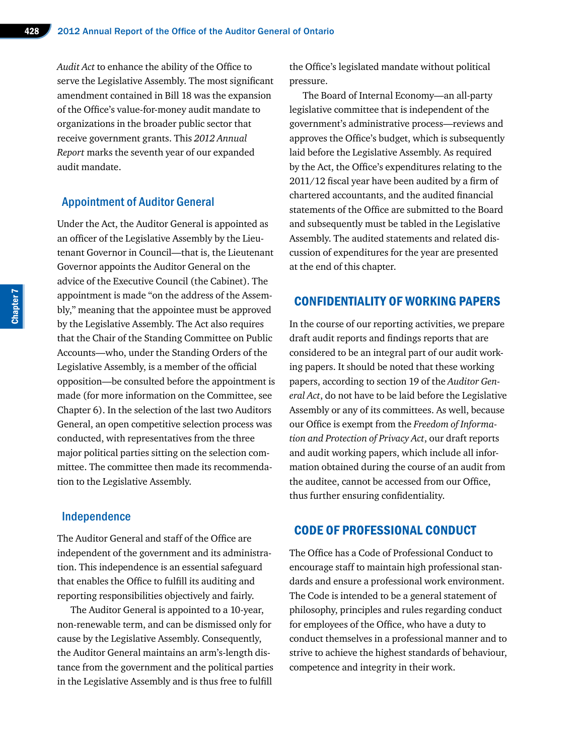*Audit Act* to enhance the ability of the Office to serve the Legislative Assembly. The most significant amendment contained in Bill 18 was the expansion of the Office's value-for-money audit mandate to organizations in the broader public sector that receive government grants. This *2012 Annual Report* marks the seventh year of our expanded audit mandate.

#### Appointment of Auditor General

Under the Act, the Auditor General is appointed as an officer of the Legislative Assembly by the Lieutenant Governor in Council—that is, the Lieutenant Governor appoints the Auditor General on the advice of the Executive Council (the Cabinet). The appointment is made "on the address of the Assembly," meaning that the appointee must be approved by the Legislative Assembly. The Act also requires that the Chair of the Standing Committee on Public Accounts—who, under the Standing Orders of the Legislative Assembly, is a member of the official opposition—be consulted before the appointment is made (for more information on the Committee, see Chapter 6). In the selection of the last two Auditors General, an open competitive selection process was conducted, with representatives from the three major political parties sitting on the selection committee. The committee then made its recommendation to the Legislative Assembly.

#### Independence

The Auditor General and staff of the Office are independent of the government and its administration. This independence is an essential safeguard that enables the Office to fulfill its auditing and reporting responsibilities objectively and fairly.

The Auditor General is appointed to a 10-year, non-renewable term, and can be dismissed only for cause by the Legislative Assembly. Consequently, the Auditor General maintains an arm's-length distance from the government and the political parties in the Legislative Assembly and is thus free to fulfill

the Office's legislated mandate without political pressure.

The Board of Internal Economy—an all-party legislative committee that is independent of the government's administrative process—reviews and approves the Office's budget, which is subsequently laid before the Legislative Assembly. As required by the Act, the Office's expenditures relating to the 2011/12 fiscal year have been audited by a firm of chartered accountants, and the audited financial statements of the Office are submitted to the Board and subsequently must be tabled in the Legislative Assembly. The audited statements and related discussion of expenditures for the year are presented at the end of this chapter.

### CONFIDENTIALITY OF WORKING PAPERS

In the course of our reporting activities, we prepare draft audit reports and findings reports that are considered to be an integral part of our audit working papers. It should be noted that these working papers, according to section 19 of the *Auditor General Act*, do not have to be laid before the Legislative Assembly or any of its committees. As well, because our Office is exempt from the *Freedom of Information and Protection of Privacy Act*, our draft reports and audit working papers, which include all information obtained during the course of an audit from the auditee, cannot be accessed from our Office, thus further ensuring confidentiality.

### CODE OF PROFESSIONAL CONDUCT

The Office has a Code of Professional Conduct to encourage staff to maintain high professional standards and ensure a professional work environment. The Code is intended to be a general statement of philosophy, principles and rules regarding conduct for employees of the Office, who have a duty to conduct themselves in a professional manner and to strive to achieve the highest standards of behaviour, competence and integrity in their work.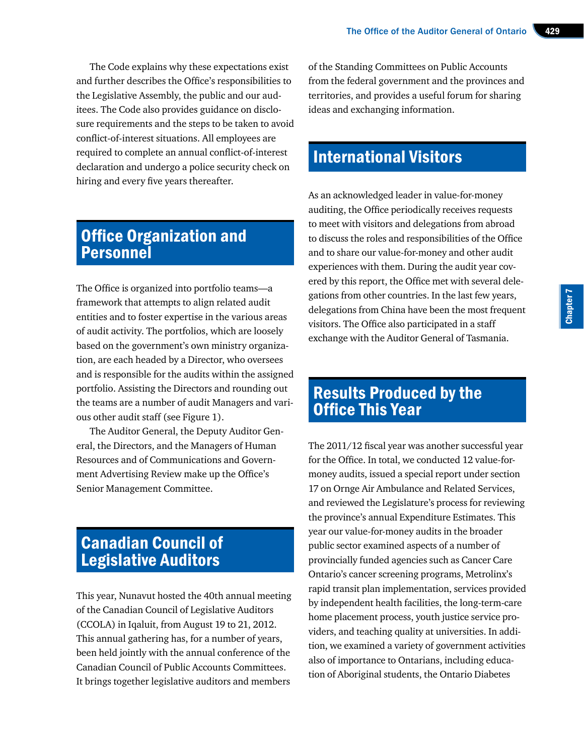The Code explains why these expectations exist and further describes the Office's responsibilities to the Legislative Assembly, the public and our auditees. The Code also provides guidance on disclosure requirements and the steps to be taken to avoid conflict-of-interest situations. All employees are required to complete an annual conflict-of-interest declaration and undergo a police security check on hiring and every five years thereafter.

### Office Organization and Personnel

The Office is organized into portfolio teams—a framework that attempts to align related audit entities and to foster expertise in the various areas of audit activity. The portfolios, which are loosely based on the government's own ministry organization, are each headed by a Director, who oversees and is responsible for the audits within the assigned portfolio. Assisting the Directors and rounding out the teams are a number of audit Managers and various other audit staff (see Figure 1).

The Auditor General, the Deputy Auditor General, the Directors, and the Managers of Human Resources and of Communications and Government Advertising Review make up the Office's Senior Management Committee.

### Canadian Council of Legislative Auditors

This year, Nunavut hosted the 40th annual meeting of the Canadian Council of Legislative Auditors (CCOLA) in Iqaluit, from August 19 to 21, 2012. This annual gathering has, for a number of years, been held jointly with the annual conference of the Canadian Council of Public Accounts Committees. It brings together legislative auditors and members

of the Standing Committees on Public Accounts from the federal government and the provinces and territories, and provides a useful forum for sharing ideas and exchanging information.

## International Visitors

As an acknowledged leader in value-for-money auditing, the Office periodically receives requests to meet with visitors and delegations from abroad to discuss the roles and responsibilities of the Office and to share our value-for-money and other audit experiences with them. During the audit year covered by this report, the Office met with several delegations from other countries. In the last few years, delegations from China have been the most frequent visitors. The Office also participated in a staff exchange with the Auditor General of Tasmania.

### Results Produced by the Office This Year

The 2011/12 fiscal year was another successful year for the Office. In total, we conducted 12 value-formoney audits, issued a special report under section 17 on Ornge Air Ambulance and Related Services, and reviewed the Legislature's process for reviewing the province's annual Expenditure Estimates. This year our value-for-money audits in the broader public sector examined aspects of a number of provincially funded agencies such as Cancer Care Ontario's cancer screening programs, Metrolinx's rapid transit plan implementation, services provided by independent health facilities, the long-term-care home placement process, youth justice service providers, and teaching quality at universities. In addition, we examined a variety of government activities also of importance to Ontarians, including education of Aboriginal students, the Ontario Diabetes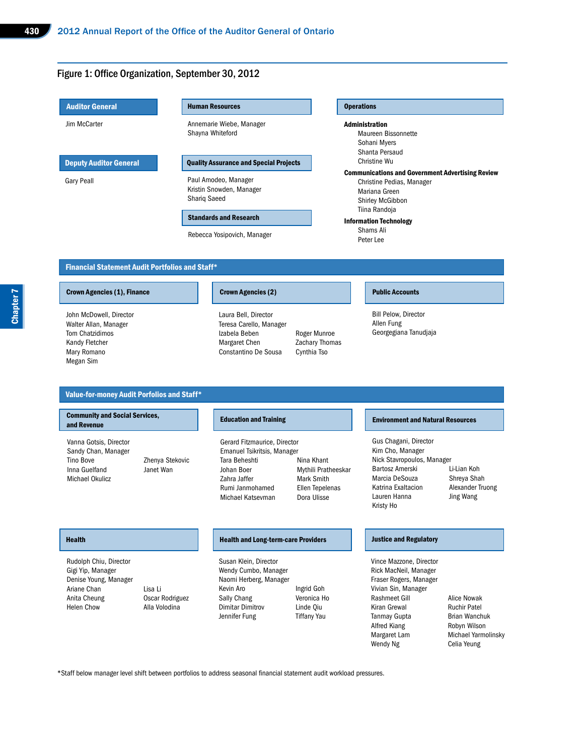



#### Value-for-money Audit Porfolios and Staff\*

#### Community and Social Services, and Revenue

Vanna Gotsis, Director Sandy Chan, Manager Tino Bove Zhenya Stekovic Inna Guelfand Janet Wan Michael Okulicz

#### Education and Training

Gerard Fitzmaurice, Director Emanuel Tsikritsis, Manager Tara Beheshti Nina Khant Johan Boer Mythili Pratheeskar Zahra Jaffer Mark Smith Rumi Janmohamed Ellen Tepelenas Michael Katsevman Dora Ulisse

#### Health and Long-term-care Providers Health Justice and Regulatory

Susan Klein, Director Wendy Cumbo, Manager Naomi Herberg, Manager Kevin Aro **Ingrid Goh** Sally Chang Veronica Ho<br>Dimitar Dimitrov Linde Qiu Dimitar Dimitrov Jennifer Fung Tiffany Yau

\*Staff below manager level shift between portfolios to address seasonal financial statement audit workload pressures.

#### Environment and Natural Resources

Gus Chagani, Director Kim Cho, Manager Nick Stavropoulos, Manager Bartosz Amerski Li-Lian Koh Marcia DeSouza Shreya Shah Katrina Exaltacion Alexander Truong Lauren Hanna Jing Wang Kristy Ho

Rudolph Chiu, Director Gigi Yip, Manager Denise Young, Manager Ariane Chan Lisa Li Anita Cheung **Canada Cheung** Oscar Rodriguez<br>
Helen Chow **Alla Volodina** 

Alla Volodina

Vince Mazzone, Director Rick MacNeil, Manager Fraser Rogers, Manager Vivian Sin, Manager Rashmeet Gill Alice Nowak<br>Kiran Grewal **Alice Ruchir Patel** Kiran Grewal Tanmay Gupta **Brian Wanchuk** Alfred Kiang Robyn Wilson Wendy Ng Celia Yeung

Margaret Lam Michael Yarmolinsky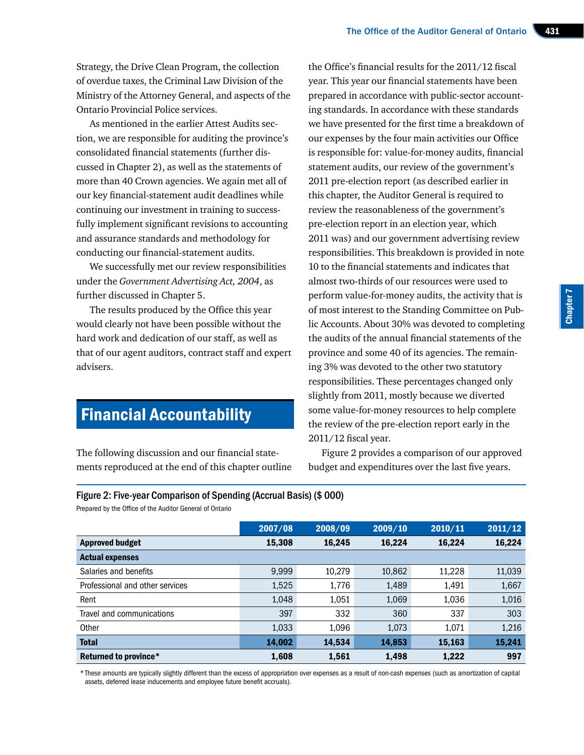Strategy, the Drive Clean Program, the collection of overdue taxes, the Criminal Law Division of the Ministry of the Attorney General, and aspects of the Ontario Provincial Police services.

As mentioned in the earlier Attest Audits section, we are responsible for auditing the province's consolidated financial statements (further discussed in Chapter 2), as well as the statements of more than 40 Crown agencies. We again met all of our key financial-statement audit deadlines while continuing our investment in training to successfully implement significant revisions to accounting and assurance standards and methodology for conducting our financial-statement audits.

We successfully met our review responsibilities under the *Government Advertising Act, 2004*, as further discussed in Chapter 5.

The results produced by the Office this year would clearly not have been possible without the hard work and dedication of our staff, as well as that of our agent auditors, contract staff and expert advisers.

### Financial Accountability

The following discussion and our financial statements reproduced at the end of this chapter outline

the Office's financial results for the 2011/12 fiscal year. This year our financial statements have been prepared in accordance with public-sector accounting standards. In accordance with these standards we have presented for the first time a breakdown of our expenses by the four main activities our Office is responsible for: value-for-money audits, financial statement audits, our review of the government's 2011 pre-election report (as described earlier in this chapter, the Auditor General is required to review the reasonableness of the government's pre-election report in an election year, which 2011 was) and our government advertising review responsibilities. This breakdown is provided in note 10 to the financial statements and indicates that almost two-thirds of our resources were used to perform value-for-money audits, the activity that is of most interest to the Standing Committee on Public Accounts. About 30% was devoted to completing the audits of the annual financial statements of the province and some 40 of its agencies. The remaining 3% was devoted to the other two statutory responsibilities. These percentages changed only slightly from 2011, mostly because we diverted some value-for-money resources to help complete the review of the pre-election report early in the 2011/12 fiscal year.

Figure 2 provides a comparison of our approved budget and expenditures over the last five years.

### Figure 2: Five-year Comparison of Spending (Accrual Basis) (\$ 000)

Prepared by the Office of the Auditor General of Ontario

|                                 | 2007/08 | 2008/09 | 2009/10 | 2010/11 | 2011/12 |
|---------------------------------|---------|---------|---------|---------|---------|
| <b>Approved budget</b>          | 15,308  | 16,245  | 16,224  | 16,224  | 16,224  |
| <b>Actual expenses</b>          |         |         |         |         |         |
| Salaries and benefits           | 9,999   | 10,279  | 10,862  | 11,228  | 11,039  |
| Professional and other services | 1,525   | 1,776   | 1,489   | 1,491   | 1,667   |
| Rent                            | 1,048   | 1,051   | 1,069   | 1,036   | 1,016   |
| Travel and communications       | 397     | 332     | 360     | 337     | 303     |
| Other                           | 1,033   | 1,096   | 1,073   | 1,071   | 1,216   |
| <b>Total</b>                    | 14,002  | 14,534  | 14,853  | 15,163  | 15,241  |
| Returned to province*           | 1,608   | 1,561   | 1,498   | 1,222   | 997     |

\*These amounts are typically slightly different than the excess of appropriation over expenses as a result of non-cash expenses (such as amortization of capital assets, deferred lease inducements and employee future benefit accruals).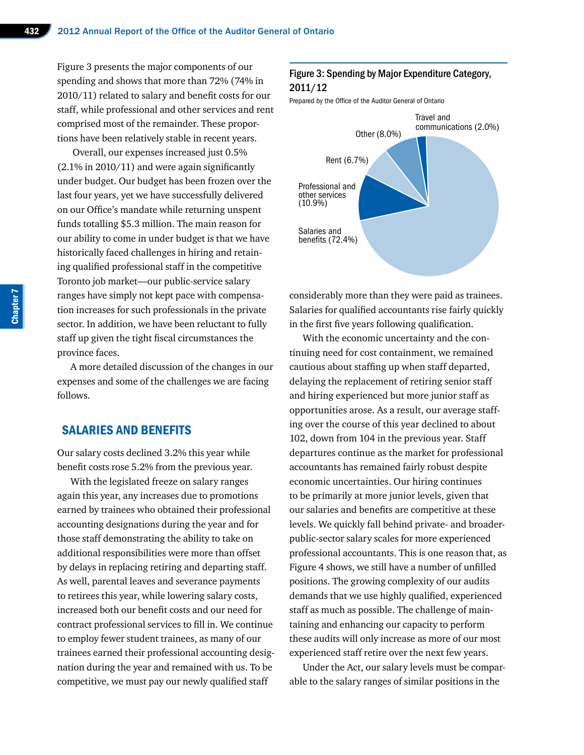Figure 3 presents the major components of our spending and shows that more than 72% (74% in 2010/11) related to salary and benefit costs for our staff, while professional and other services and rent comprised most of the remainder. These proportions have been relatively stable in recent years.

 Overall, our expenses increased just 0.5% (2.1% in 2010/11) and were again significantly under budget. Our budget has been frozen over the last four years, yet we have successfully delivered on our Office's mandate while returning unspent funds totalling \$5.3 million. The main reason for our ability to come in under budget is that we have historically faced challenges in hiring and retaining qualified professional staff in the competitive Toronto job market—our public-service salary ranges have simply not kept pace with compensation increases for such professionals in the private sector. In addition, we have been reluctant to fully staff up given the tight fiscal circumstances the province faces.

A more detailed discussion of the changes in our expenses and some of the challenges we are facing follows.

### SALARIES AND BENEFITS

Our salary costs declined 3.2% this year while benefit costs rose 5.2% from the previous year.

With the legislated freeze on salary ranges again this year, any increases due to promotions earned by trainees who obtained their professional accounting designations during the year and for those staff demonstrating the ability to take on additional responsibilities were more than offset by delays in replacing retiring and departing staff. As well, parental leaves and severance payments to retirees this year, while lowering salary costs, increased both our benefit costs and our need for contract professional services to fill in. We continue to employ fewer student trainees, as many of our trainees earned their professional accounting designation during the year and remained with us. To be competitive, we must pay our newly qualified staff

### Figure 3: Spending by Major Expenditure Category, 2011/12

Prepared by the Office of the Auditor General of Ontario



considerably more than they were paid as trainees. Salaries for qualified accountants rise fairly quickly in the first five years following qualification.

With the economic uncertainty and the continuing need for cost containment, we remained cautious about staffing up when staff departed, delaying the replacement of retiring senior staff and hiring experienced but more junior staff as opportunities arose. As a result, our average staffing over the course of this year declined to about 102, down from 104 in the previous year. Staff departures continue as the market for professional accountants has remained fairly robust despite economic uncertainties. Our hiring continues to be primarily at more junior levels, given that our salaries and benefits are competitive at these levels. We quickly fall behind private- and broaderpublic-sector salary scales for more experienced professional accountants. This is one reason that, as Figure 4 shows, we still have a number of unfilled positions. The growing complexity of our audits demands that we use highly qualified, experienced staff as much as possible. The challenge of maintaining and enhancing our capacity to perform these audits will only increase as more of our most experienced staff retire over the next few years.

Under the Act, our salary levels must be comparable to the salary ranges of similar positions in the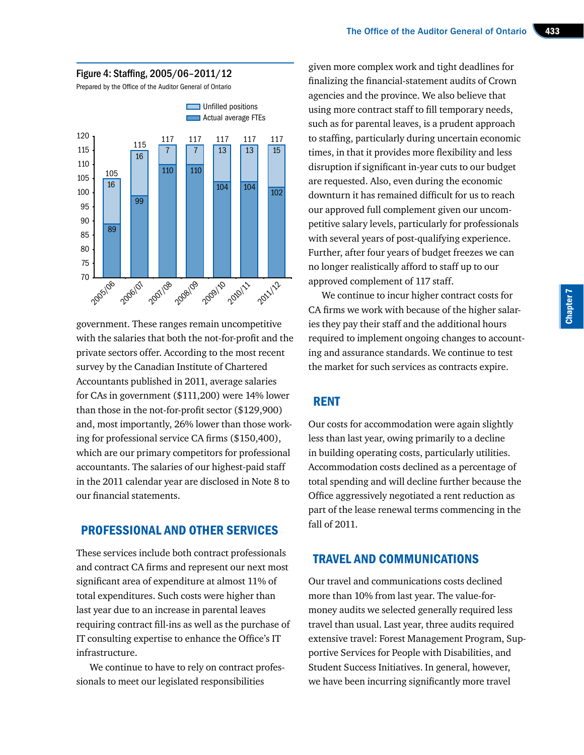

government. These ranges remain uncompetitive with the salaries that both the not-for-profit and the private sectors offer. According to the most recent survey by the Canadian Institute of Chartered Accountants published in 2011, average salaries for CAs in government (\$111,200) were 14% lower than those in the not-for-profit sector (\$129,900) and, most importantly, 26% lower than those working for professional service CA firms (\$150,400), which are our primary competitors for professional accountants. The salaries of our highest-paid staff in the 2011 calendar year are disclosed in Note 8 to our financial statements.

### PROFESSIONAL AND OTHER SERVICES

These services include both contract professionals and contract CA firms and represent our next most significant area of expenditure at almost 11% of total expenditures. Such costs were higher than last year due to an increase in parental leaves requiring contract fill-ins as well as the purchase of IT consulting expertise to enhance the Office's IT infrastructure.

We continue to have to rely on contract professionals to meet our legislated responsibilities

given more complex work and tight deadlines for finalizing the financial-statement audits of Crown agencies and the province. We also believe that using more contract staff to fill temporary needs, such as for parental leaves, is a prudent approach to staffing, particularly during uncertain economic times, in that it provides more flexibility and less disruption if significant in-year cuts to our budget are requested. Also, even during the economic downturn it has remained difficult for us to reach our approved full complement given our uncompetitive salary levels, particularly for professionals with several years of post-qualifying experience. Further, after four years of budget freezes we can no longer realistically afford to staff up to our approved complement of 117 staff.

We continue to incur higher contract costs for CA firms we work with because of the higher salaries they pay their staff and the additional hours required to implement ongoing changes to accounting and assurance standards. We continue to test the market for such services as contracts expire.

### RENT

Our costs for accommodation were again slightly less than last year, owing primarily to a decline in building operating costs, particularly utilities. Accommodation costs declined as a percentage of total spending and will decline further because the Office aggressively negotiated a rent reduction as part of the lease renewal terms commencing in the fall of 2011.

### TRAVEL AND COMMUNICATIONS

Our travel and communications costs declined more than 10% from last year. The value-formoney audits we selected generally required less travel than usual. Last year, three audits required extensive travel: Forest Management Program, Supportive Services for People with Disabilities, and Student Success Initiatives. In general, however, we have been incurring significantly more travel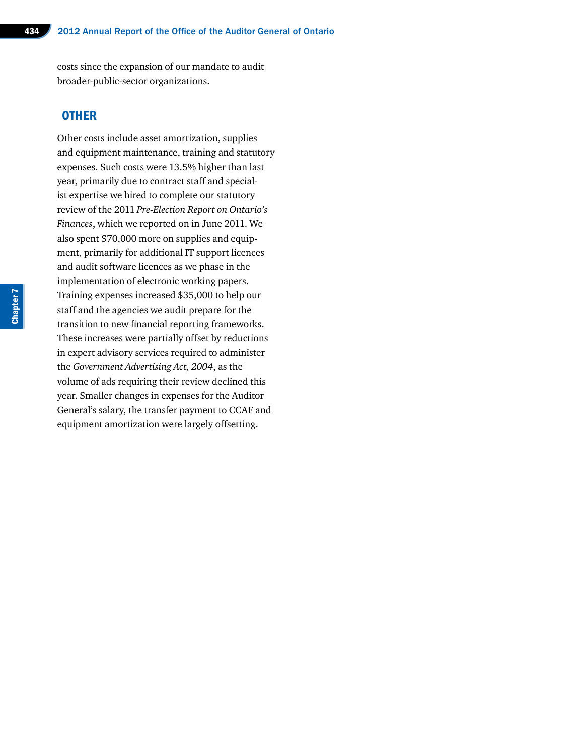costs since the expansion of our mandate to audit broader-public-sector organizations.

### **OTHER**

Other costs include asset amortization, supplies and equipment maintenance, training and statutory expenses. Such costs were 13.5% higher than last year, primarily due to contract staff and specialist expertise we hired to complete our statutory review of the 2011 *Pre-Election Report on Ontario's Finances*, which we reported on in June 2011. We also spent \$70,000 more on supplies and equipment, primarily for additional IT support licences and audit software licences as we phase in the implementation of electronic working papers. Training expenses increased \$35,000 to help our staff and the agencies we audit prepare for the transition to new financial reporting frameworks. These increases were partially offset by reductions in expert advisory services required to administer the *Government Advertising Act, 2004*, as the volume of ads requiring their review declined this year. Smaller changes in expenses for the Auditor General's salary, the transfer payment to CCAF and equipment amortization were largely offsetting.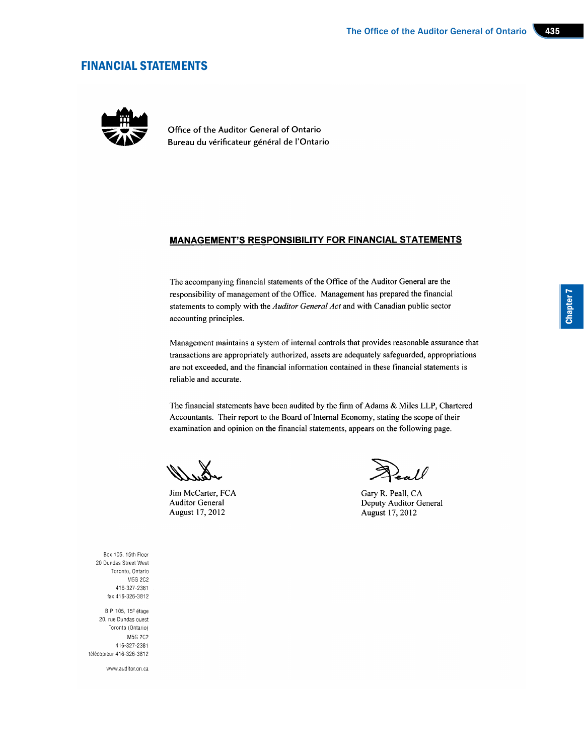### FINANCIAL STATEMENTS



Office of the Auditor General of Ontario Bureau du vérificateur général de l'Ontario

#### **MANAGEMENT'S RESPONSIBILITY FOR FINANCIAL STATEMENTS**

The accompanying financial statements of the Office of the Auditor General are the responsibility of management of the Office. Management has prepared the financial statements to comply with the Auditor General Act and with Canadian public sector accounting principles.

Management maintains a system of internal controls that provides reasonable assurance that transactions are appropriately authorized, assets are adequately safeguarded, appropriations are not exceeded, and the financial information contained in these financial statements is reliable and accurate.

The financial statements have been audited by the firm of Adams & Miles LLP, Chartered Accountants. Their report to the Board of Internal Economy, stating the scope of their examination and opinion on the financial statements, appears on the following page.

Jim McCarter, FCA Auditor General August 17, 2012

Gary R. Peall, CA Deputy Auditor General August 17, 2012

Box 105, 15th Floor 20 Dundas Street West Toronto, Ontario M5G 2C2 416-327-2381 fax 416-326-3812

B.P. 105, 15<sup>e</sup> étage 20, rue Dundas ouest Toronto (Ontario) M5G 2C2 416-327-2381 télécopieur 416-326-3812

www.auditor.on.ca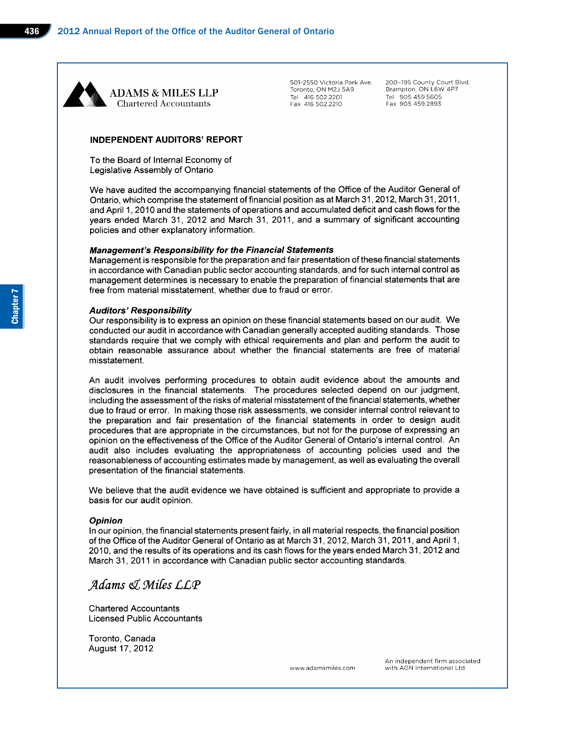

**ADAMS & MILES LLP Chartered Accountants** 

501-2550 Victoria Park Ave. Toronto, ON M2J 5A9 Tel 416 502 2201 Fax 416 502.2210

200-195 County Court Blvd Brampton, ON L6W 4P7 Tel 905 459 5605 Fax 905 459.2893

#### **INDEPENDENT AUDITORS' REPORT**

To the Board of Internal Economy of Legislative Assembly of Ontario

We have audited the accompanying financial statements of the Office of the Auditor General of Ontario, which comprise the statement of financial position as at March 31, 2012, March 31, 2011, and April 1, 2010 and the statements of operations and accumulated deficit and cash flows for the years ended March 31, 2012 and March 31, 2011, and a summary of significant accounting policies and other explanatory information.

#### **Management's Responsibility for the Financial Statements**

Management is responsible for the preparation and fair presentation of these financial statements in accordance with Canadian public sector accounting standards, and for such internal control as management determines is necessary to enable the preparation of financial statements that are free from material misstatement, whether due to fraud or error.

#### **Auditors' Responsibility**

Our responsibility is to express an opinion on these financial statements based on our audit. We conducted our audit in accordance with Canadian generally accepted auditing standards. Those standards require that we comply with ethical requirements and plan and perform the audit to obtain reasonable assurance about whether the financial statements are free of material misstatement.

An audit involves performing procedures to obtain audit evidence about the amounts and disclosures in the financial statements. The procedures selected depend on our judgment, including the assessment of the risks of material misstatement of the financial statements, whether due to fraud or error. In making those risk assessments, we consider internal control relevant to the preparation and fair presentation of the financial statements in order to design audit procedures that are appropriate in the circumstances, but not for the purpose of expressing an opinion on the effectiveness of the Office of the Auditor General of Ontario's internal control. An audit also includes evaluating the appropriateness of accounting policies used and the reasonableness of accounting estimates made by management, as well as evaluating the overall presentation of the financial statements.

We believe that the audit evidence we have obtained is sufficient and appropriate to provide a basis for our audit opinion.

#### **Opinion**

In our opinion, the financial statements present fairly, in all material respects, the financial position of the Office of the Auditor General of Ontario as at March 31, 2012, March 31, 2011, and April 1, 2010, and the results of its operations and its cash flows for the years ended March 31, 2012 and March 31, 2011 in accordance with Canadian public sector accounting standards.

Adams & Miles LLP

**Chartered Accountants Licensed Public Accountants** 

Toronto, Canada August 17, 2012

www.adamsmiles.com

An independent firm associated with AGN International Ltd.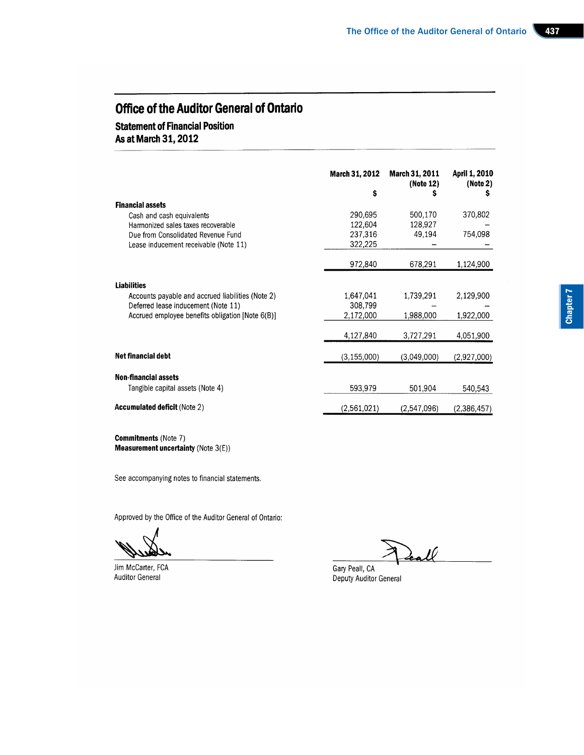### **Statement of Financial Position**

As at March 31, 2012

|                                                   | March 31, 2012 | March 31, 2011<br>(Note 12) | <b>April 1, 2010</b><br>(Note 2) |
|---------------------------------------------------|----------------|-----------------------------|----------------------------------|
|                                                   | \$             | s                           | s                                |
| <b>Financial assets</b>                           |                |                             |                                  |
| Cash and cash equivalents                         | 290.695        | 500,170                     | 370,802                          |
| Harmonized sales taxes recoverable                | 122,604        | 128,927                     |                                  |
| Due from Consolidated Revenue Fund                | 237,316        | 49,194                      | 754,098                          |
| Lease inducement receivable (Note 11)             | 322,225        |                             |                                  |
|                                                   | 972,840        | 678,291                     | 1,124,900                        |
| <b>Liabilities</b>                                |                |                             |                                  |
| Accounts payable and accrued liabilities (Note 2) | 1,647,041      | 1,739,291                   | 2,129,900                        |
| Deferred lease inducement (Note 11)               | 308,799        |                             |                                  |
| Accrued employee benefits obligation [Note 6(B)]  | 2,172,000      | 1,988,000                   | 1,922,000                        |
|                                                   | 4,127,840      | 3,727,291                   | 4,051,900                        |
| Net financial debt                                | (3, 155, 000)  | (3,049,000)                 | (2,927,000)                      |
| <b>Non-financial assets</b>                       |                |                             |                                  |
| Tangible capital assets (Note 4)                  | 593,979        | 501,904                     | 540,543                          |
| <b>Accumulated deficit (Note 2)</b>               | (2,561,021)    | (2,547,096)                 | (2,386,457)                      |

**Commitments** (Note 7) **Measurement uncertainty (Note 3(E))** 

See accompanying notes to financial statements.

Approved by the Office of the Auditor General of Ontario:

Jim McCarter, FCA **Auditor General** 

Deall

Gary Peall, CA Deputy Auditor General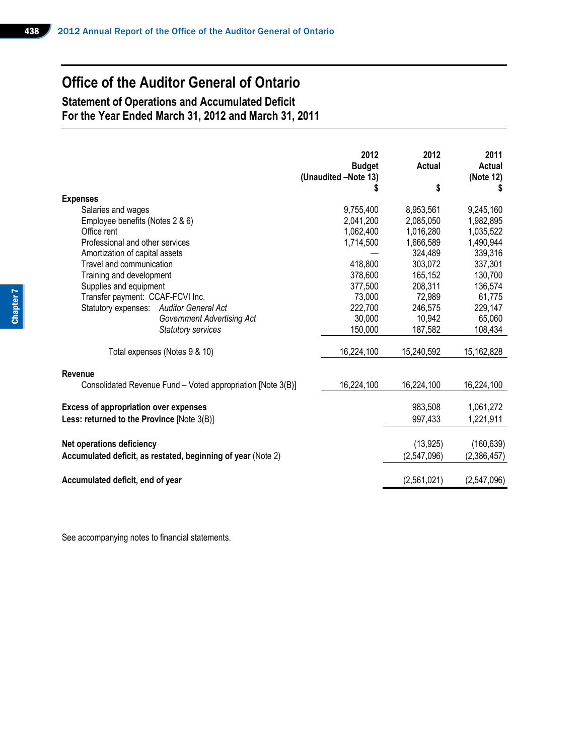**Statement of Operations and Accumulated Deficit For the Year Ended March 31, 2012 and March 31, 2011**

|                                                              | 2012<br><b>Budget</b><br>(Unaudited -Note 13) | 2012<br>Actual | 2011<br>Actual<br>(Note 12) |
|--------------------------------------------------------------|-----------------------------------------------|----------------|-----------------------------|
|                                                              | S                                             | \$             |                             |
| <b>Expenses</b>                                              |                                               |                |                             |
| Salaries and wages                                           | 9,755,400                                     | 8,953,561      | 9,245,160                   |
| Employee benefits (Notes 2 & 6)                              | 2,041,200                                     | 2,085,050      | 1,982,895                   |
| Office rent                                                  | 1,062,400                                     | 1,016,280      | 1,035,522                   |
| Professional and other services                              | 1,714,500                                     | 1,666,589      | 1,490,944                   |
| Amortization of capital assets                               |                                               | 324,489        | 339,316                     |
| Travel and communication                                     | 418,800                                       | 303,072        | 337,301                     |
| Training and development                                     | 378,600                                       | 165,152        | 130,700                     |
| Supplies and equipment                                       | 377,500                                       | 208,311        | 136,574                     |
| Transfer payment: CCAF-FCVI Inc.                             | 73,000                                        | 72,989         | 61,775                      |
| <b>Auditor General Act</b><br>Statutory expenses:            | 222,700                                       | 246,575        | 229,147                     |
| <b>Government Advertising Act</b>                            | 30,000                                        | 10,942         | 65,060                      |
| <b>Statutory services</b>                                    | 150,000                                       | 187,582        | 108,434                     |
| Total expenses (Notes 9 & 10)                                | 16,224,100                                    | 15,240,592     | 15,162,828                  |
| Revenue                                                      |                                               |                |                             |
| Consolidated Revenue Fund - Voted appropriation [Note 3(B)]  | 16,224,100                                    | 16,224,100     | 16,224,100                  |
| <b>Excess of appropriation over expenses</b>                 |                                               | 983,508        | 1,061,272                   |
| Less: returned to the Province [Note 3(B)]                   |                                               | 997,433        | 1,221,911                   |
|                                                              |                                               |                |                             |
| Net operations deficiency                                    |                                               | (13, 925)      | (160, 639)                  |
| Accumulated deficit, as restated, beginning of year (Note 2) |                                               | (2,547,096)    | (2,386,457)                 |
| Accumulated deficit, end of year                             |                                               | (2,561,021)    | (2,547,096)                 |

See accompanying notes to financial statements.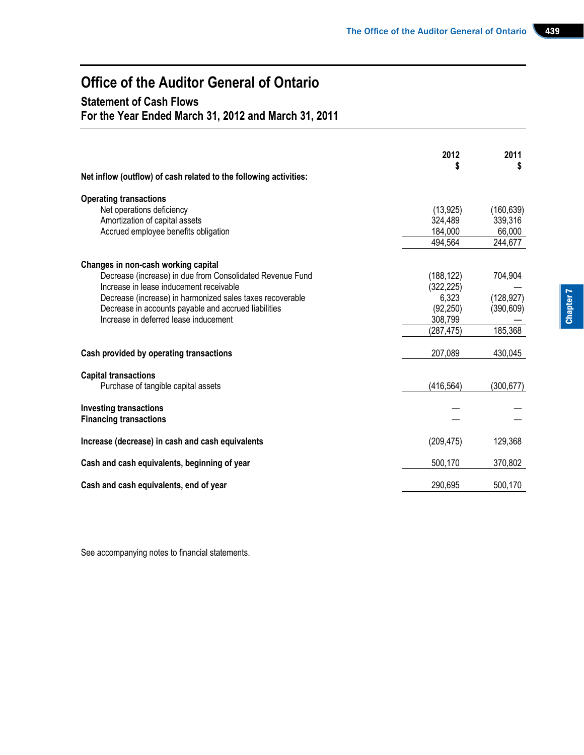### **Statement of Cash Flows**

**For the Year Ended March 31, 2012 and March 31, 2011**

|                                                                   | 2012<br>\$ | 2011<br>\$ |
|-------------------------------------------------------------------|------------|------------|
| Net inflow (outflow) of cash related to the following activities: |            |            |
| <b>Operating transactions</b>                                     |            |            |
| Net operations deficiency                                         | (13, 925)  | (160, 639) |
| Amortization of capital assets                                    | 324,489    | 339,316    |
| Accrued employee benefits obligation                              | 184,000    | 66,000     |
|                                                                   | 494,564    | 244,677    |
| Changes in non-cash working capital                               |            |            |
| Decrease (increase) in due from Consolidated Revenue Fund         | (188, 122) | 704,904    |
| Increase in lease inducement receivable                           | (322, 225) |            |
| Decrease (increase) in harmonized sales taxes recoverable         | 6,323      | (128, 927) |
| Decrease in accounts payable and accrued liabilities              | (92, 250)  | (390, 609) |
| Increase in deferred lease inducement                             | 308,799    |            |
|                                                                   | (287, 475) | 185,368    |
| Cash provided by operating transactions                           | 207,089    | 430,045    |
| <b>Capital transactions</b>                                       |            |            |
| Purchase of tangible capital assets                               | (416, 564) | (300, 677) |
| <b>Investing transactions</b>                                     |            |            |
| <b>Financing transactions</b>                                     |            |            |
| Increase (decrease) in cash and cash equivalents                  | (209, 475) | 129,368    |
| Cash and cash equivalents, beginning of year                      | 500,170    | 370,802    |
| Cash and cash equivalents, end of year                            | 290,695    | 500,170    |

See accompanying notes to financial statements.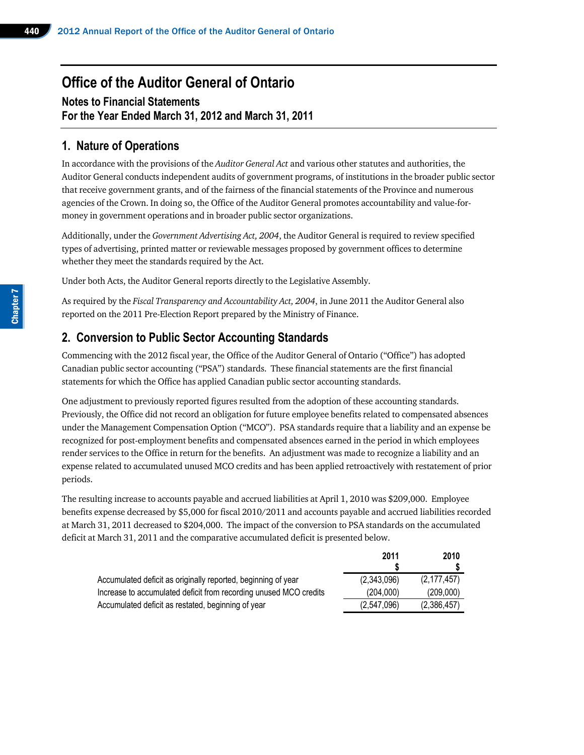**Notes to Financial Statements For the Year Ended March 31, 2012 and March 31, 2011**

### **1. Nature of Operations**

In accordance with the provisions of the *Auditor General Act* and various other statutes and authorities, the Auditor General conducts independent audits of government programs, of institutions in the broader public sector that receive government grants, and of the fairness of the financial statements of the Province and numerous agencies of the Crown. In doing so, the Office of the Auditor General promotes accountability and value-formoney in government operations and in broader public sector organizations.

Additionally, under the *Government Advertising Act, 2004*, the Auditor General is required to review specified types of advertising, printed matter or reviewable messages proposed by government offices to determine whether they meet the standards required by the Act.

Under both Acts, the Auditor General reports directly to the Legislative Assembly.

As required by the *Fiscal Transparency and Accountability Act, 2004*, in June 2011 the Auditor General also reported on the 2011 Pre-Election Report prepared by the Ministry of Finance.

### **2. Conversion to Public Sector Accounting Standards**

Commencing with the 2012 fiscal year, the Office of the Auditor General of Ontario ("Office") has adopted Canadian public sector accounting ("PSA") standards. These financial statements are the first financial statements for which the Office has applied Canadian public sector accounting standards.

One adjustment to previously reported figures resulted from the adoption of these accounting standards. Previously, the Office did not record an obligation for future employee benefits related to compensated absences under the Management Compensation Option ("MCO"). PSA standards require that a liability and an expense be recognized for post-employment benefits and compensated absences earned in the period in which employees render services to the Office in return for the benefits. An adjustment was made to recognize a liability and an expense related to accumulated unused MCO credits and has been applied retroactively with restatement of prior periods.

The resulting increase to accounts payable and accrued liabilities at April 1, 2010 was \$209,000. Employee benefits expense decreased by \$5,000 for fiscal 2010/2011 and accounts payable and accrued liabilities recorded at March 31, 2011 decreased to \$204,000. The impact of the conversion to PSA standards on the accumulated deficit at March 31, 2011 and the comparative accumulated deficit is presented below.

|                                                                   | 2011        | 2010          |
|-------------------------------------------------------------------|-------------|---------------|
|                                                                   |             |               |
| Accumulated deficit as originally reported, beginning of year     | (2,343,096) | (2, 177, 457) |
| Increase to accumulated deficit from recording unused MCO credits | (204,000)   | (209.000)     |
| Accumulated deficit as restated, beginning of year                | (2,547,096) | (2,386,457)   |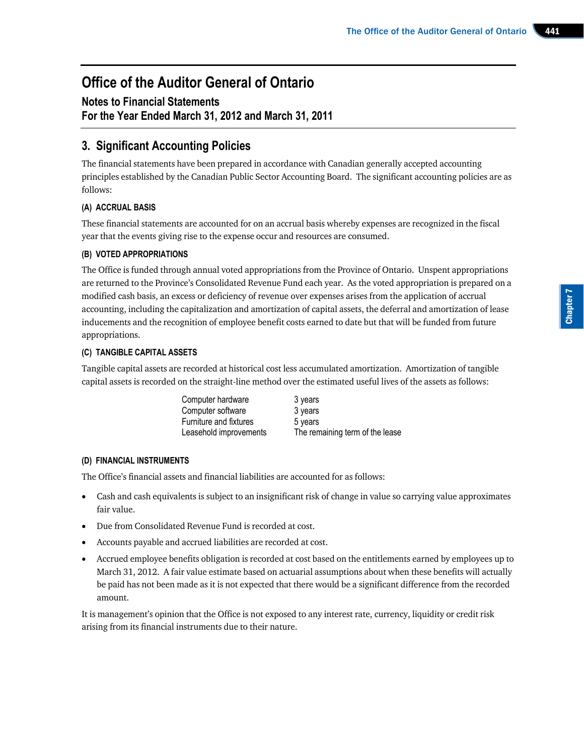### **Notes to Financial Statements**

**For the Year Ended March 31, 2012 and March 31, 2011**

### **3. Significant Accounting Policies**

The financial statements have been prepared in accordance with Canadian generally accepted accounting principles established by the Canadian Public Sector Accounting Board. The significant accounting policies are as follows:

#### **(A) ACCRUAL BASIS**

These financial statements are accounted for on an accrual basis whereby expenses are recognized in the fiscal year that the events giving rise to the expense occur and resources are consumed.

#### **(B) VOTED APPROPRIATIONS**

The Office is funded through annual voted appropriations from the Province of Ontario. Unspent appropriations are returned to the Province's Consolidated Revenue Fund each year. As the voted appropriation is prepared on a modified cash basis, an excess or deficiency of revenue over expenses arises from the application of accrual accounting, including the capitalization and amortization of capital assets, the deferral and amortization of lease inducements and the recognition of employee benefit costs earned to date but that will be funded from future appropriations.

#### **(C) TANGIBLE CAPITAL ASSETS**

Tangible capital assets are recorded at historical cost less accumulated amortization. Amortization of tangible capital assets is recorded on the straight-line method over the estimated useful lives of the assets as follows:

| Computer hardware      | 3 years                         |
|------------------------|---------------------------------|
| Computer software      | 3 years                         |
| Furniture and fixtures | 5 years                         |
| Leasehold improvements | The remaining term of the lease |

#### **(D) FINANCIAL INSTRUMENTS**

The Office's financial assets and financial liabilities are accounted for as follows:

- Cash and cash equivalents is subject to an insignificant risk of change in value so carrying value approximates fair value.
- Due from Consolidated Revenue Fund is recorded at cost.
- Accounts payable and accrued liabilities are recorded at cost.
- Accrued employee benefits obligation is recorded at cost based on the entitlements earned by employees up to March 31, 2012. A fair value estimate based on actuarial assumptions about when these benefits will actually be paid has not been made as it is not expected that there would be a significant difference from the recorded amount.

It is management's opinion that the Office is not exposed to any interest rate, currency, liquidity or credit risk arising from its financial instruments due to their nature.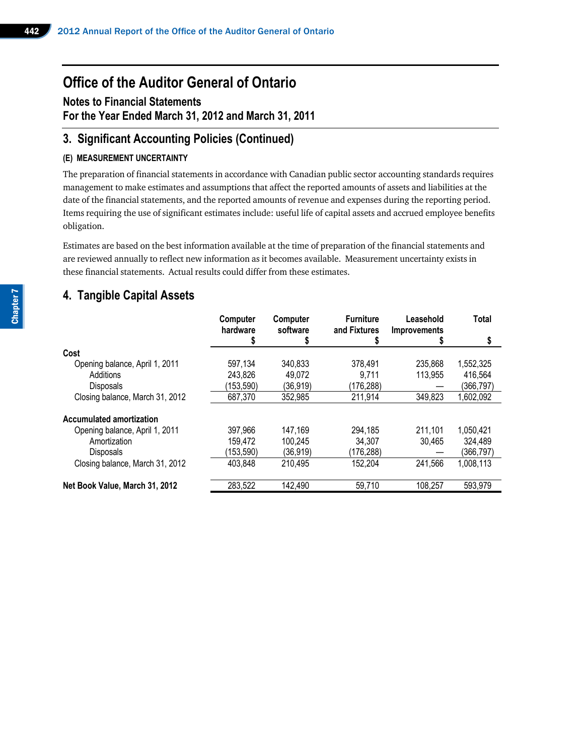**Notes to Financial Statements For the Year Ended March 31, 2012 and March 31, 2011**

### **3. Significant Accounting Policies (Continued)**

#### **(E) MEASUREMENT UNCERTAINTY**

The preparation of financial statements in accordance with Canadian public sector accounting standards requires management to make estimates and assumptions that affect the reported amounts of assets and liabilities at the date of the financial statements, and the reported amounts of revenue and expenses during the reporting period. Items requiring the use of significant estimates include: useful life of capital assets and accrued employee benefits obligation.

Estimates are based on the best information available at the time of preparation of the financial statements and are reviewed annually to reflect new information as it becomes available. Measurement uncertainty exists in these financial statements. Actual results could differ from these estimates.

### **4. Tangible Capital Assets**

|                                 | Computer<br>hardware | Computer<br>software | <b>Furniture</b><br>and Fixtures | Leasehold<br><b>Improvements</b> | Total     |
|---------------------------------|----------------------|----------------------|----------------------------------|----------------------------------|-----------|
|                                 | 5                    |                      |                                  |                                  | \$        |
| Cost                            |                      |                      |                                  |                                  |           |
| Opening balance, April 1, 2011  | 597,134              | 340.833              | 378,491                          | 235,868                          | 1,552,325 |
| Additions                       | 243,826              | 49,072               | 9,711                            | 113,955                          | 416,564   |
| <b>Disposals</b>                | (153.590)            | (36,919)             | (176, 288)                       |                                  | (366.797) |
| Closing balance, March 31, 2012 | 687,370              | 352,985              | 211,914                          | 349,823                          | 1,602,092 |
| <b>Accumulated amortization</b> |                      |                      |                                  |                                  |           |
| Opening balance, April 1, 2011  | 397,966              | 147,169              | 294,185                          | 211,101                          | 1,050,421 |
| Amortization                    | 159.472              | 100.245              | 34.307                           | 30,465                           | 324,489   |
| <b>Disposals</b>                | (153, 590)           | (36, 919)            | (176, 288)                       |                                  | (366,797) |
| Closing balance, March 31, 2012 | 403,848              | 210,495              | 152,204                          | 241,566                          | 1,008,113 |
| Net Book Value, March 31, 2012  | 283,522              | 142,490              | 59.710                           | 108,257                          | 593,979   |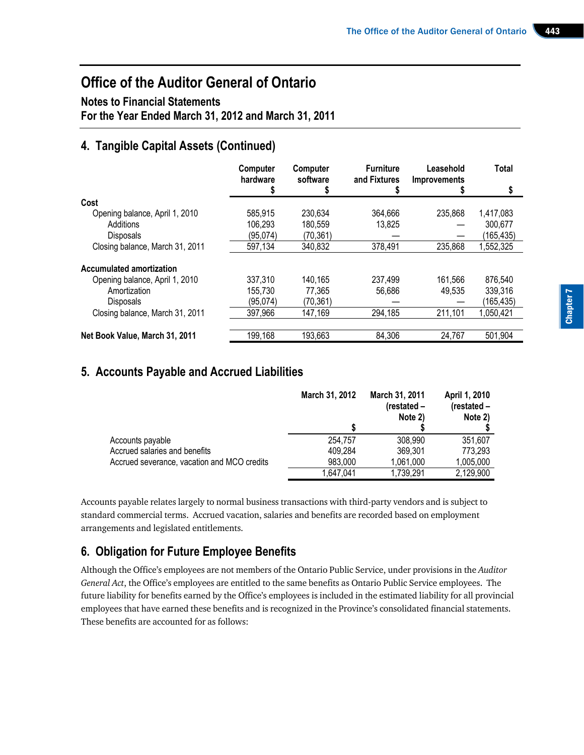### **Notes to Financial Statements**

**For the Year Ended March 31, 2012 and March 31, 2011**

### **4. Tangible Capital Assets (Continued)**

|                                 | Computer<br>hardware | Computer<br>software | <b>Furniture</b><br>and Fixtures | Leasehold<br><b>Improvements</b> | Total     |
|---------------------------------|----------------------|----------------------|----------------------------------|----------------------------------|-----------|
|                                 |                      |                      |                                  |                                  | 5         |
| Cost                            |                      |                      |                                  |                                  |           |
| Opening balance, April 1, 2010  | 585,915              | 230,634              | 364,666                          | 235,868                          | 1,417,083 |
| Additions                       | 106,293              | 180,559              | 13,825                           |                                  | 300,677   |
| <b>Disposals</b>                | (95,074)             | (70, 361)            |                                  |                                  | (165,435) |
| Closing balance, March 31, 2011 | 597,134              | 340,832              | 378,491                          | 235,868                          | 1,552,325 |
| Accumulated amortization        |                      |                      |                                  |                                  |           |
| Opening balance, April 1, 2010  | 337,310              | 140,165              | 237,499                          | 161,566                          | 876,540   |
| Amortization                    | 155,730              | 77,365               | 56,686                           | 49.535                           | 339,316   |
| <b>Disposals</b>                | (95,074)             | (70, 361)            |                                  |                                  | (165,435) |
| Closing balance, March 31, 2011 | 397,966              | 147,169              | 294,185                          | 211,101                          | 1,050,421 |
|                                 |                      |                      |                                  |                                  |           |
| Net Book Value, March 31, 2011  | 199,168              | 193,663              | 84,306                           | 24,767                           | 501,904   |

### **5. Accounts Payable and Accrued Liabilities**

|                                             | March 31, 2012 | March 31, 2011<br>(restated -<br>Note 2) | April 1, 2010<br>(restated -<br>Note 2) |
|---------------------------------------------|----------------|------------------------------------------|-----------------------------------------|
| Accounts payable                            | 254,757        | 308,990                                  | 351,607                                 |
| Accrued salaries and benefits               | 409.284        | 369.301                                  | 773,293                                 |
| Accrued severance, vacation and MCO credits | 983,000        | 1,061,000                                | 1,005,000                               |
|                                             | 041,647        | 1,739,291                                | 2,129,900                               |

Accounts payable relates largely to normal business transactions with third-party vendors and is subject to standard commercial terms. Accrued vacation, salaries and benefits are recorded based on employment arrangements and legislated entitlements.

### **6. Obligation for Future Employee Benefits**

Although the Office's employees are not members of the Ontario Public Service, under provisions in the *Auditor General Act*, the Office's employees are entitled to the same benefits as Ontario Public Service employees. The future liability for benefits earned by the Office's employees is included in the estimated liability for all provincial employees that have earned these benefits and is recognized in the Province's consolidated financial statements. These benefits are accounted for as follows: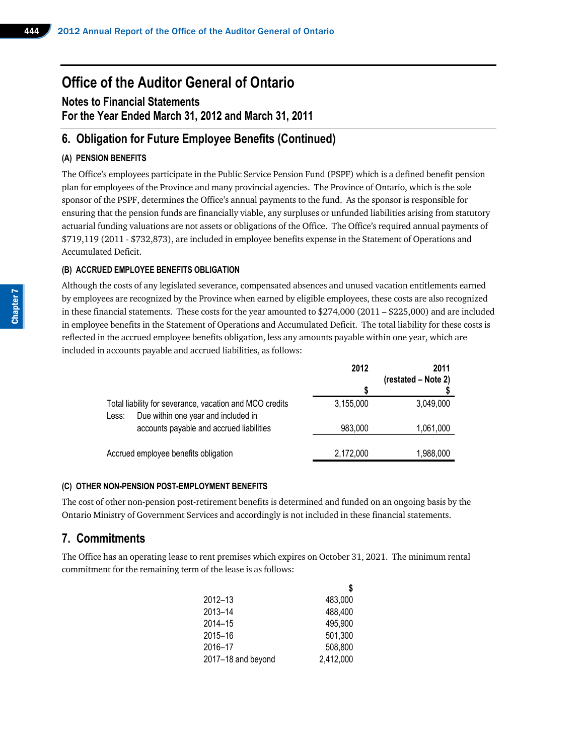**Notes to Financial Statements For the Year Ended March 31, 2012 and March 31, 2011**

### **6. Obligation for Future Employee Benefits (Continued)**

#### **(A) PENSION BENEFITS**

The Office's employees participate in the Public Service Pension Fund (PSPF) which is a defined benefit pension plan for employees of the Province and many provincial agencies. The Province of Ontario, which is the sole sponsor of the PSPF, determines the Office's annual payments to the fund. As the sponsor is responsible for ensuring that the pension funds are financially viable, any surpluses or unfunded liabilities arising from statutory actuarial funding valuations are not assets or obligations of the Office. The Office's required annual payments of \$719,119 (2011 - \$732,873), are included in employee benefits expense in the Statement of Operations and Accumulated Deficit.

#### **(B) ACCRUED EMPLOYEE BENEFITS OBLIGATION**

Although the costs of any legislated severance, compensated absences and unused vacation entitlements earned by employees are recognized by the Province when earned by eligible employees, these costs are also recognized in these financial statements. These costs for the year amounted to \$274,000 (2011 – \$225,000) and are included in employee benefits in the Statement of Operations and Accumulated Deficit. The total liability for these costs is reflected in the accrued employee benefits obligation, less any amounts payable within one year, which are included in accounts payable and accrued liabilities, as follows:

|       |                                                                                                | 2012      | 2011<br>(restated – Note 2) |
|-------|------------------------------------------------------------------------------------------------|-----------|-----------------------------|
|       |                                                                                                |           |                             |
| Less: | Total liability for severance, vacation and MCO credits<br>Due within one year and included in | 3,155,000 | 3,049,000                   |
|       | accounts payable and accrued liabilities                                                       | 983,000   | 1,061,000                   |
|       | Accrued employee benefits obligation                                                           | 2,172,000 | 1,988,000                   |

#### **(C) OTHER NON-PENSION POST-EMPLOYMENT BENEFITS**

The cost of other non-pension post-retirement benefits is determined and funded on an ongoing basis by the Ontario Ministry of Government Services and accordingly is not included in these financial statements.

### **7. Commitments**

The Office has an operating lease to rent premises which expires on October 31, 2021. The minimum rental commitment for the remaining term of the lease is as follows:

|                    | \$        |
|--------------------|-----------|
| 2012–13            | 483,000   |
| 2013–14            | 488,400   |
| 2014–15            | 495,900   |
| 2015–16            | 501,300   |
| 2016–17            | 508,800   |
| 2017-18 and beyond | 2,412,000 |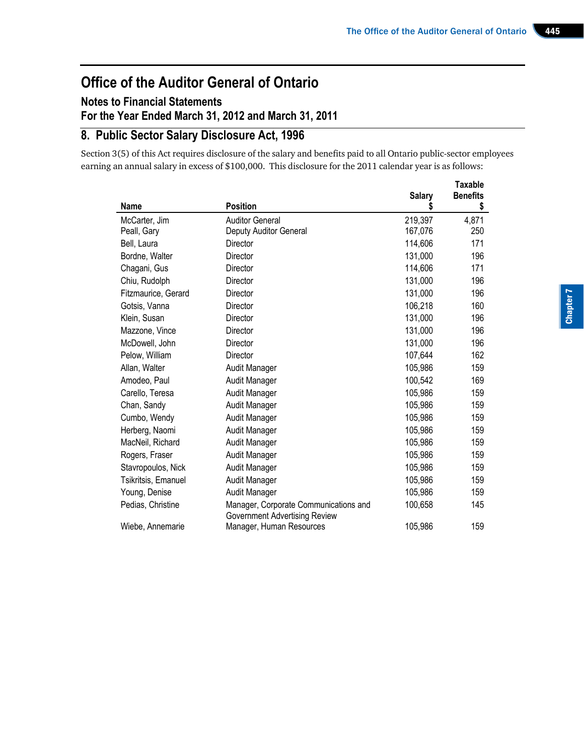### **Notes to Financial Statements For the Year Ended March 31, 2012 and March 31, 2011**

### **8. Public Sector Salary Disclosure Act, 1996**

Section 3(5) of this Act requires disclosure of the salary and benefits paid to all Ontario public-sector employees earning an annual salary in excess of \$100,000. This disclosure for the 2011 calendar year is as follows:

|                              |                                                  | <b>Salary</b>      | Taxable<br><b>Benefits</b> |
|------------------------------|--------------------------------------------------|--------------------|----------------------------|
| <b>Name</b>                  | <b>Position</b>                                  | \$                 | \$                         |
| McCarter, Jim<br>Peall, Gary | <b>Auditor General</b><br>Deputy Auditor General | 219,397<br>167,076 | 4,871<br>250               |
| Bell, Laura                  | <b>Director</b>                                  | 114,606            | 171                        |
| Bordne, Walter               | Director                                         | 131,000            | 196                        |
| Chagani, Gus                 | Director                                         | 114,606            | 171                        |
| Chiu, Rudolph                | Director                                         | 131,000            | 196                        |
| Fitzmaurice, Gerard          | Director                                         | 131,000            | 196                        |
| Gotsis, Vanna                | Director                                         | 106,218            | 160                        |
| Klein, Susan                 | Director                                         | 131,000            | 196                        |
| Mazzone, Vince               | Director                                         | 131,000            | 196                        |
| McDowell, John               | <b>Director</b>                                  | 131,000            | 196                        |
| Pelow, William               | Director                                         | 107,644            | 162                        |
| Allan, Walter                | Audit Manager                                    | 105,986            | 159                        |
| Amodeo, Paul                 | Audit Manager                                    | 100,542            | 169                        |
| Carello, Teresa              | Audit Manager                                    | 105,986            | 159                        |
| Chan, Sandy                  | Audit Manager                                    | 105,986            | 159                        |
| Cumbo, Wendy                 | Audit Manager                                    | 105,986            | 159                        |
| Herberg, Naomi               | Audit Manager                                    | 105,986            | 159                        |
| MacNeil, Richard             | Audit Manager                                    | 105,986            | 159                        |
| Rogers, Fraser               | Audit Manager                                    | 105,986            | 159                        |
| Stavropoulos, Nick           | Audit Manager                                    | 105,986            | 159                        |
| Tsikritsis, Emanuel          | Audit Manager                                    | 105,986            | 159                        |
| Young, Denise                | Audit Manager                                    | 105,986            | 159                        |
| Pedias, Christine            | Manager, Corporate Communications and            | 100,658            | 145                        |
|                              | <b>Government Advertising Review</b>             |                    |                            |
| Wiebe, Annemarie             | Manager, Human Resources                         | 105,986            | 159                        |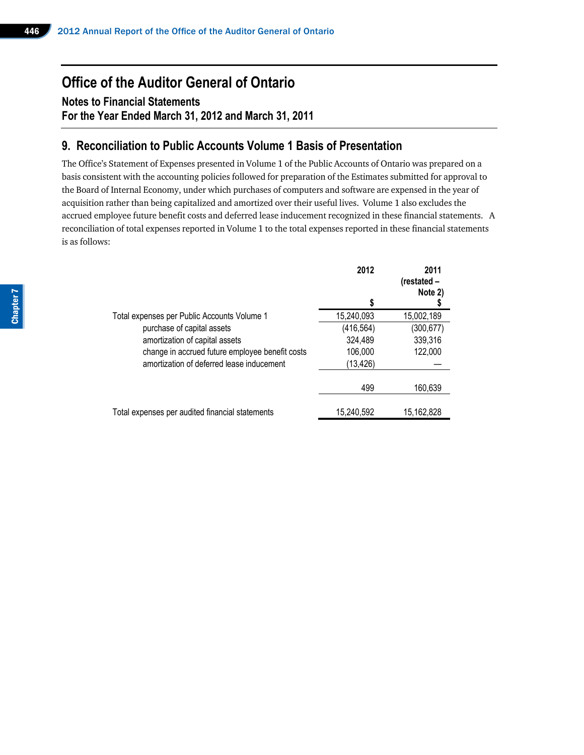**Notes to Financial Statements For the Year Ended March 31, 2012 and March 31, 2011**

### **9. Reconciliation to Public Accounts Volume 1 Basis of Presentation**

The Office's Statement of Expenses presented in Volume 1 of the Public Accounts of Ontario was prepared on a basis consistent with the accounting policies followed for preparation of the Estimates submitted for approval to the Board of Internal Economy, under which purchases of computers and software are expensed in the year of acquisition rather than being capitalized and amortized over their useful lives. Volume 1 also excludes the accrued employee future benefit costs and deferred lease inducement recognized in these financial statements. A reconciliation of total expenses reported in Volume 1 to the total expenses reported in these financial statements is as follows:

|                                                 | 2012       | 2011<br>(restated –<br>Note 2) |
|-------------------------------------------------|------------|--------------------------------|
|                                                 | S          |                                |
| Total expenses per Public Accounts Volume 1     | 15,240,093 | 15,002,189                     |
| purchase of capital assets                      | (416, 564) | (300, 677)                     |
| amortization of capital assets                  | 324,489    | 339,316                        |
| change in accrued future employee benefit costs | 106,000    | 122,000                        |
| amortization of deferred lease inducement       | (13, 426)  |                                |
|                                                 | 499        | 160,639                        |
| Total expenses per audited financial statements | 15,240,592 | 15,162,828                     |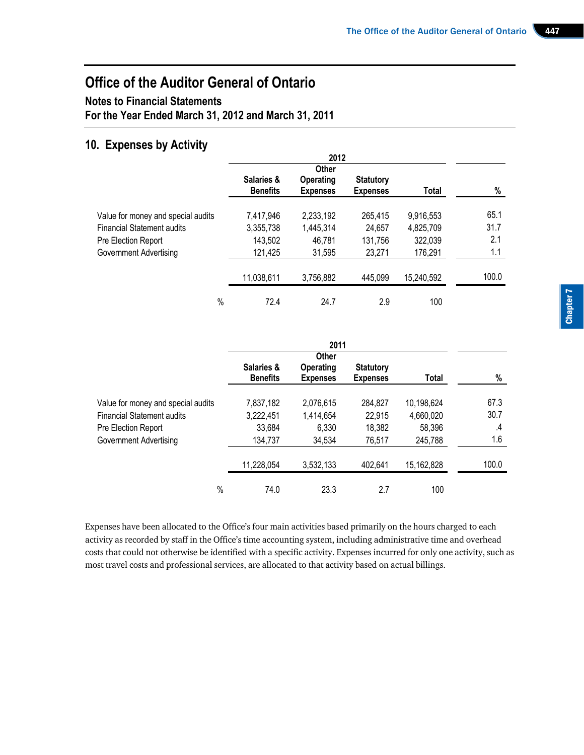### **Notes to Financial Statements For the Year Ended March 31, 2012 and March 31, 2011**

### **10. Expenses by Activity**

|                                    | 2012<br><b>Other</b>                     |                              |                                     |            |       |
|------------------------------------|------------------------------------------|------------------------------|-------------------------------------|------------|-------|
|                                    |                                          |                              |                                     |            |       |
|                                    | <b>Salaries &amp;</b><br><b>Benefits</b> | Operating<br><b>Expenses</b> | <b>Statutory</b><br><b>Expenses</b> | Total      | %     |
| Value for money and special audits | 7,417,946                                | 2,233,192                    | 265,415                             | 9,916,553  | 65.1  |
| <b>Financial Statement audits</b>  | 3,355,738                                | 1,445,314                    | 24,657                              | 4,825,709  | 31.7  |
| Pre Election Report                | 143,502                                  | 46,781                       | 131,756                             | 322,039    | 2.1   |
| Government Advertising             | 121,425                                  | 31,595                       | 23,271                              | 176,291    | 1.1   |
|                                    | 11,038,611                               | 3,756,882                    | 445,099                             | 15,240,592 | 100.0 |
| $\frac{0}{0}$                      | 72.4                                     | 24.7                         | 2.9                                 | 100        |       |

|                                    | 2011<br><b>Other</b>          |                                     |                                     |            |         |
|------------------------------------|-------------------------------|-------------------------------------|-------------------------------------|------------|---------|
|                                    |                               |                                     |                                     |            |         |
|                                    | Salaries &<br><b>Benefits</b> | <b>Operating</b><br><b>Expenses</b> | <b>Statutory</b><br><b>Expenses</b> | Total      | %       |
| Value for money and special audits | 7,837,182                     | 2,076,615                           | 284,827                             | 10,198,624 | 67.3    |
| <b>Financial Statement audits</b>  | 3,222,451                     | 1,414,654                           | 22,915                              | 4,660,020  | 30.7    |
| <b>Pre Election Report</b>         | 33,684                        | 6,330                               | 18,382                              | 58,396     | $\cdot$ |
| <b>Government Advertising</b>      | 134,737                       | 34,534                              | 76,517                              | 245,788    | 1.6     |
|                                    | 11,228,054                    | 3,532,133                           | 402,641                             | 15,162,828 | 100.0   |
| $\%$                               | 74.0                          | 23.3                                | 2.7                                 | 100        |         |

Expenses have been allocated to the Office's four main activities based primarily on the hours charged to each activity as recorded by staff in the Office's time accounting system, including administrative time and overhead costs that could not otherwise be identified with a specific activity. Expenses incurred for only one activity, such as most travel costs and professional services, are allocated to that activity based on actual billings.